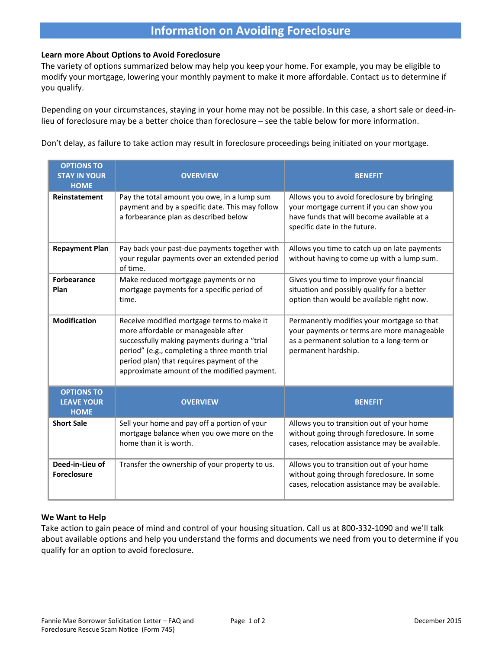### **Information on Avoiding Foreclosure**

#### **Learn more About Options to Avoid Foreclosure**

The variety of options summarized below may help you keep your home. For example, you may be eligible to modify your mortgage, lowering your monthly payment to make it more affordable. Contact us to determine if you qualify.

Depending on your circumstances, staying in your home may not be possible. In this case, a short sale or deed-inlieu of foreclosure may be a better choice than foreclosure – see the table below for more information.

Don't delay, as failure to take action may result in foreclosure proceedings being initiated on your mortgage.

| <b>OPTIONS TO</b><br><b>STAY IN YOUR</b><br><b>HOME</b> | <b>OVERVIEW</b>                                                                                                                                                                                                                                                                | <b>BENEFIT</b>                                                                                                                                                         |
|---------------------------------------------------------|--------------------------------------------------------------------------------------------------------------------------------------------------------------------------------------------------------------------------------------------------------------------------------|------------------------------------------------------------------------------------------------------------------------------------------------------------------------|
| <b>Reinstatement</b>                                    | Pay the total amount you owe, in a lump sum<br>payment and by a specific date. This may follow<br>a forbearance plan as described below                                                                                                                                        | Allows you to avoid foreclosure by bringing<br>your mortgage current if you can show you<br>have funds that will become available at a<br>specific date in the future. |
| <b>Repayment Plan</b>                                   | Pay back your past-due payments together with<br>your regular payments over an extended period<br>of time.                                                                                                                                                                     | Allows you time to catch up on late payments<br>without having to come up with a lump sum.                                                                             |
| <b>Forbearance</b><br>Plan                              | Make reduced mortgage payments or no<br>mortgage payments for a specific period of<br>time.                                                                                                                                                                                    | Gives you time to improve your financial<br>situation and possibly qualify for a better<br>option than would be available right now.                                   |
| <b>Modification</b>                                     | Receive modified mortgage terms to make it<br>more affordable or manageable after<br>successfully making payments during a "trial<br>period" (e.g., completing a three month trial<br>period plan) that requires payment of the<br>approximate amount of the modified payment. | Permanently modifies your mortgage so that<br>your payments or terms are more manageable<br>as a permanent solution to a long-term or<br>permanent hardship.           |
| <b>OPTIONS TO</b><br><b>LEAVE YOUR</b><br><b>HOME</b>   | <b>OVERVIEW</b>                                                                                                                                                                                                                                                                | <b>BENEFIT</b>                                                                                                                                                         |
| <b>Short Sale</b>                                       | Sell your home and pay off a portion of your<br>mortgage balance when you owe more on the<br>home than it is worth.                                                                                                                                                            | Allows you to transition out of your home<br>without going through foreclosure. In some<br>cases, relocation assistance may be available.                              |
| Deed-in-Lieu of<br><b>Foreclosure</b>                   | Transfer the ownership of your property to us.                                                                                                                                                                                                                                 | Allows you to transition out of your home<br>without going through foreclosure. In some<br>cases, relocation assistance may be available.                              |

#### **We Want to Help**

Take action to gain peace of mind and control of your housing situation. Call us at 800-332-1090 and we'll talk about available options and help you understand the forms and documents we need from you to determine if you qualify for an option to avoid foreclosure.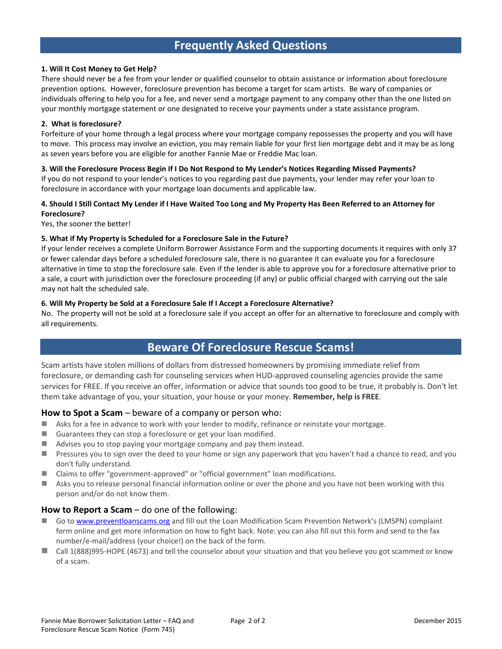### **Frequently Asked Questions**

#### **1. Will It Cost Money to Get Help?**

There should never be a fee from your lender or qualified counselor to obtain assistance or information about foreclosure prevention options. However, foreclosure prevention has become a target for scam artists. Be wary of companies or individuals offering to help you for a fee, and never send a mortgage payment to any company other than the one listed on your monthly mortgage statement or one designated to receive your payments under a state assistance program.

#### **2. What is foreclosure?**

Forfeiture of your home through a legal process where your mortgage company repossesses the property and you will have to move. This process may involve an eviction, you may remain liable for your first lien mortgage debt and it may be as long as seven years before you are eligible for another Fannie Mae or Freddie Mac loan.

#### **3. Will the Foreclosure Process Begin If I Do Not Respond to My Lender's Notices Regarding Missed Payments?**

If you do not respond to your lender's notices to you regarding past due payments, your lender may refer your loan to foreclosure in accordance with your mortgage loan documents and applicable law.

#### **4. Should I Still Contact My Lender if I Have Waited Too Long and My Property Has Been Referred to an Attorney for Foreclosure?**

Yes, the sooner the better!

#### **5. What if My Property is Scheduled for a Foreclosure Sale in the Future?**

If your lender receives a complete Uniform Borrower Assistance Form and the supporting documents it requires with only 37 or fewer calendar days before a scheduled foreclosure sale, there is no guarantee it can evaluate you for a foreclosure alternative in time to stop the foreclosure sale. Even if the lender is able to approve you for a foreclosure alternative prior to a sale, a court with jurisdiction over the foreclosure proceeding (if any) or public official charged with carrying out the sale may not halt the scheduled sale.

#### **6. Will My Property be Sold at a Foreclosure Sale If I Accept a Foreclosure Alternative?**

No. The property will not be sold at a foreclosure sale if you accept an offer for an alternative to foreclosure and comply with all requirements.

### **Beware Of Foreclosure Rescue Scams!**

Scam artists have stolen millions of dollars from distressed homeowners by promising immediate relief from foreclosure, or demanding cash for counseling services when HUD-approved counseling agencies provide the same services for FREE. If you receive an offer, information or advice that sounds too good to be true, it probably is. Don't let them take advantage of you, your situation, your house or your money. **Remember, help is FREE**.

#### **How to Spot a Scam** – beware of a company or person who:

- Asks for a fee in advance to work with your lender to modify, refinance or reinstate your mortgage.
- Guarantees they can stop a foreclosure or get your loan modified.
- Advises you to stop paying your mortgage company and pay them instead.
- **Pressures you to sign over the deed to your home or sign any paperwork that you haven't had a chance to read, and you** don't fully understand.
- Claims to offer "government-approved" or "official government" loan modifications.
- Asks you to release personal financial information online or over the phone and you have not been working with this person and/or do not know them.

#### **How to Report a Scam** – do one of the following:

- Go to [www.preventloanscams.org](http://www.preventloanscams.org/) and fill out the Loan Modification Scam Prevention Network's (LMSPN) complaint form online and get more information on how to fight back. Note: you can also fill out this form and send to the fax number/e-mail/address (your choice!) on the back of the form.
- Call 1(888)995-HOPE (4673) and tell the counselor about your situation and that you believe you got scammed or know of a scam.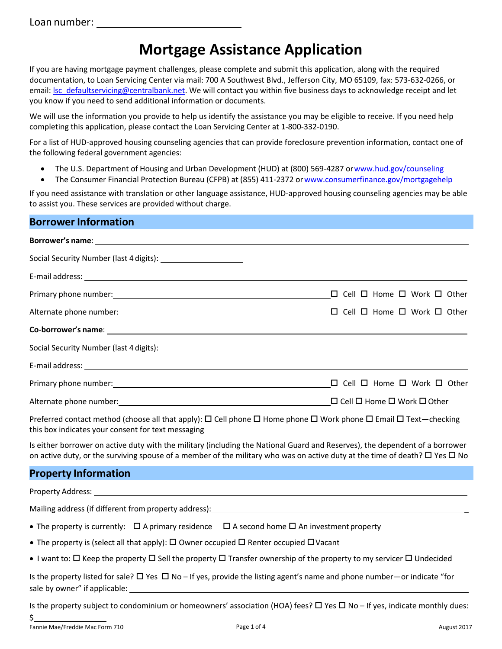# **Mortgage Assistance Application**

If you are having mortgage payment challenges, please complete and submit this application, along with the required documentation, to Loan Servicing Center via mail: 700 A Southwest Blvd., Jefferson City, MO 65109, fax: 573-632-0266, or email: Isc\_defaultservicing@centralbank.net. We will contact you within five business days to acknowledge receipt and let you know if you need to send additional information or documents.

We will use the information you provide to help us identify the assistance you may be eligible to receive. If you need help completing this application, please contact the Loan Servicing Center at 1-800-332-0190.

For a list of HUD-approved housing counseling agencies that can provide foreclosure prevention information, contact one of the following federal government agencies:

- The U.S. Department of Housing and Urban Development (HUD) at (800) 569-4287 o[rwww.hud.gov/counseling](http://www.hud.gov/counseling)
- The Consumer Financial Protection Bureau (CFPB) at (855) 411-2372 or www.consumerfinance.gov/mortgagehelp

If you need assistance with translation or other language assistance, HUD-approved housing counseling agencies may be able to assist you. These services are provided without charge.

#### **Borrower Information**

| Social Security Number (last 4 digits): _________________________                                                                         |                                                  |
|-------------------------------------------------------------------------------------------------------------------------------------------|--------------------------------------------------|
|                                                                                                                                           |                                                  |
|                                                                                                                                           | $\Box$ Cell $\Box$ Home $\Box$ Work $\Box$ Other |
|                                                                                                                                           |                                                  |
|                                                                                                                                           |                                                  |
|                                                                                                                                           |                                                  |
|                                                                                                                                           |                                                  |
|                                                                                                                                           | $\Box$ Cell $\Box$ Home $\Box$ Work $\Box$ Other |
|                                                                                                                                           | $\Box$ Cell $\Box$ Home $\Box$ Work $\Box$ Other |
| Preferred contact method (choose all that apply): $\Box$ Cell phone $\Box$ Home phone $\Box$ Work phone $\Box$ Email $\Box$ Text—checking |                                                  |

this box indicates your consent for text messaging

Is either borrower on active duty with the military (including the National Guard and Reserves), the dependent of a borrower on active duty, or the surviving spouse of a member of the military who was on active duty at the time of death?  $\Box$  Yes  $\Box$  No

### **Property Information**

Property Address:

Mailing address (if different from property address):

- The property is currently:  $\Box$  A primary residence  $\Box$  A second home  $\Box$  An investment property
- The property is (select all that apply):  $\Box$  Owner occupied  $\Box$  Renter occupied  $\Box$  Vacant
- I want to:  $\Box$  Keep the property  $\Box$  Sell the property  $\Box$  Transfer ownership of the property to my servicer  $\Box$  Undecided

Is the property listed for sale?  $\Box$  Yes  $\Box$  No – If yes, provide the listing agent's name and phone number—or indicate "for sale by owner" if applicable:

Is the property subject to condominium or homeowners' association (HOA) fees?  $\Box$  Yes  $\Box$  No – If yes, indicate monthly dues:

\$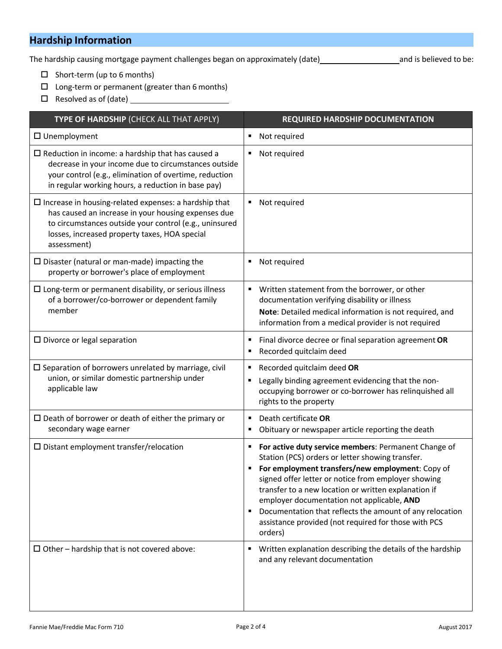### **Hardship Information**

The hardship causing mortgage payment challenges began on approximately (date) and is believed to be:

- $\square$  Short-term (up to 6 months)
- $\square$  Long-term or permanent (greater than 6 months)
- □ Resolved as of (date) <u>\_\_\_\_\_\_\_\_\_\_</u>

| TYPE OF HARDSHIP (CHECK ALL THAT APPLY)                                                                                                                                                                                                       | <b>REQUIRED HARDSHIP DOCUMENTATION</b>                                                                                                                                                                                                                                                                                                                                                                                                                             |  |  |
|-----------------------------------------------------------------------------------------------------------------------------------------------------------------------------------------------------------------------------------------------|--------------------------------------------------------------------------------------------------------------------------------------------------------------------------------------------------------------------------------------------------------------------------------------------------------------------------------------------------------------------------------------------------------------------------------------------------------------------|--|--|
| $\Box$ Unemployment                                                                                                                                                                                                                           | Not required<br>٠                                                                                                                                                                                                                                                                                                                                                                                                                                                  |  |  |
| $\Box$ Reduction in income: a hardship that has caused a<br>decrease in your income due to circumstances outside<br>your control (e.g., elimination of overtime, reduction<br>in regular working hours, a reduction in base pay)              | Not required<br>٠                                                                                                                                                                                                                                                                                                                                                                                                                                                  |  |  |
| $\Box$ Increase in housing-related expenses: a hardship that<br>has caused an increase in your housing expenses due<br>to circumstances outside your control (e.g., uninsured<br>losses, increased property taxes, HOA special<br>assessment) | Not required<br>٠                                                                                                                                                                                                                                                                                                                                                                                                                                                  |  |  |
| $\square$ Disaster (natural or man-made) impacting the<br>property or borrower's place of employment                                                                                                                                          | Not required<br>п                                                                                                                                                                                                                                                                                                                                                                                                                                                  |  |  |
| $\square$ Long-term or permanent disability, or serious illness<br>of a borrower/co-borrower or dependent family<br>member                                                                                                                    | Written statement from the borrower, or other<br>٠<br>documentation verifying disability or illness<br>Note: Detailed medical information is not required, and<br>information from a medical provider is not required                                                                                                                                                                                                                                              |  |  |
| $\square$ Divorce or legal separation                                                                                                                                                                                                         | Final divorce decree or final separation agreement OR<br>п<br>Recorded quitclaim deed                                                                                                                                                                                                                                                                                                                                                                              |  |  |
| $\square$ Separation of borrowers unrelated by marriage, civil<br>union, or similar domestic partnership under<br>applicable law                                                                                                              | Recorded quitclaim deed OR<br>٠<br>Legally binding agreement evidencing that the non-<br>occupying borrower or co-borrower has relinquished all<br>rights to the property                                                                                                                                                                                                                                                                                          |  |  |
| $\square$ Death of borrower or death of either the primary or<br>secondary wage earner                                                                                                                                                        | Death certificate OR<br>٠<br>Obituary or newspaper article reporting the death<br>٠                                                                                                                                                                                                                                                                                                                                                                                |  |  |
| $\square$ Distant employment transfer/relocation                                                                                                                                                                                              | For active duty service members: Permanent Change of<br>Station (PCS) orders or letter showing transfer.<br>For employment transfers/new employment: Copy of<br>٠<br>signed offer letter or notice from employer showing<br>transfer to a new location or written explanation if<br>employer documentation not applicable, AND<br>Documentation that reflects the amount of any relocation<br>٠<br>assistance provided (not required for those with PCS<br>orders) |  |  |
| $\Box$ Other – hardship that is not covered above:                                                                                                                                                                                            | Written explanation describing the details of the hardship<br>п<br>and any relevant documentation                                                                                                                                                                                                                                                                                                                                                                  |  |  |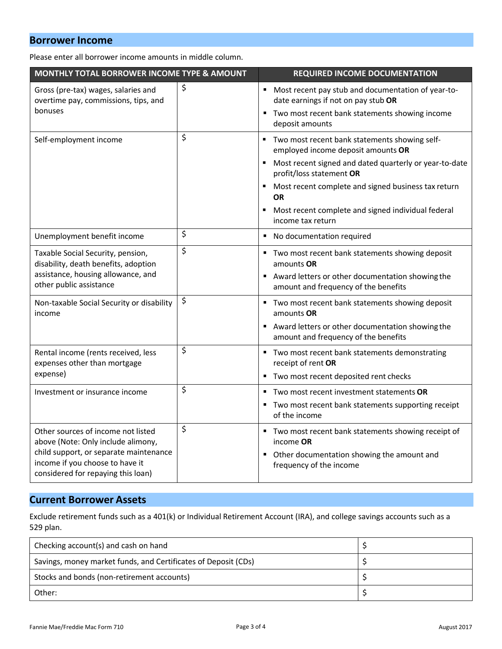### **Borrower Income**

Please enter all borrower income amounts in middle column.

| MONTHLY TOTAL BORROWER INCOME TYPE & AMOUNT                                                                     |    | <b>REQUIRED INCOME DOCUMENTATION</b>                                                                                                                  |  |
|-----------------------------------------------------------------------------------------------------------------|----|-------------------------------------------------------------------------------------------------------------------------------------------------------|--|
| Gross (pre-tax) wages, salaries and<br>overtime pay, commissions, tips, and<br>bonuses                          | \$ | Most recent pay stub and documentation of year-to-<br>٠<br>date earnings if not on pay stub OR<br>Two most recent bank statements showing income<br>Ξ |  |
|                                                                                                                 |    | deposit amounts                                                                                                                                       |  |
| Self-employment income                                                                                          | \$ | Two most recent bank statements showing self-<br>٠<br>employed income deposit amounts OR                                                              |  |
|                                                                                                                 |    | Most recent signed and dated quarterly or year-to-date<br>٠<br>profit/loss statement OR                                                               |  |
|                                                                                                                 |    | Most recent complete and signed business tax return<br><b>OR</b>                                                                                      |  |
|                                                                                                                 |    | Most recent complete and signed individual federal<br>income tax return                                                                               |  |
| Unemployment benefit income                                                                                     | \$ | No documentation required                                                                                                                             |  |
| Taxable Social Security, pension,<br>disability, death benefits, adoption<br>assistance, housing allowance, and | \$ | Two most recent bank statements showing deposit<br>amounts OR<br>Award letters or other documentation showing the                                     |  |
| other public assistance                                                                                         |    | amount and frequency of the benefits                                                                                                                  |  |
| Non-taxable Social Security or disability<br>income                                                             | \$ | Two most recent bank statements showing deposit<br>amounts OR                                                                                         |  |
|                                                                                                                 |    | Award letters or other documentation showing the<br>amount and frequency of the benefits                                                              |  |
| Rental income (rents received, less<br>expenses other than mortgage                                             | \$ | Two most recent bank statements demonstrating<br>٠<br>receipt of rent OR                                                                              |  |
| expense)                                                                                                        |    | Two most recent deposited rent checks<br>٠                                                                                                            |  |
| Investment or insurance income                                                                                  | \$ | Two most recent investment statements OR<br>٠                                                                                                         |  |
|                                                                                                                 |    | Two most recent bank statements supporting receipt<br>of the income                                                                                   |  |
| \$<br>Other sources of income not listed<br>above (Note: Only include alimony,                                  |    | Two most recent bank statements showing receipt of<br>income OR                                                                                       |  |
| child support, or separate maintenance<br>income if you choose to have it<br>considered for repaying this loan) |    | Other documentation showing the amount and<br>frequency of the income                                                                                 |  |

### **Current Borrower Assets**

Exclude retirement funds such as a 401(k) or Individual Retirement Account (IRA), and college savings accounts such as a 529 plan.

| Checking account(s) and cash on hand                           |  |
|----------------------------------------------------------------|--|
| Savings, money market funds, and Certificates of Deposit (CDs) |  |
| Stocks and bonds (non-retirement accounts)                     |  |
| Other:                                                         |  |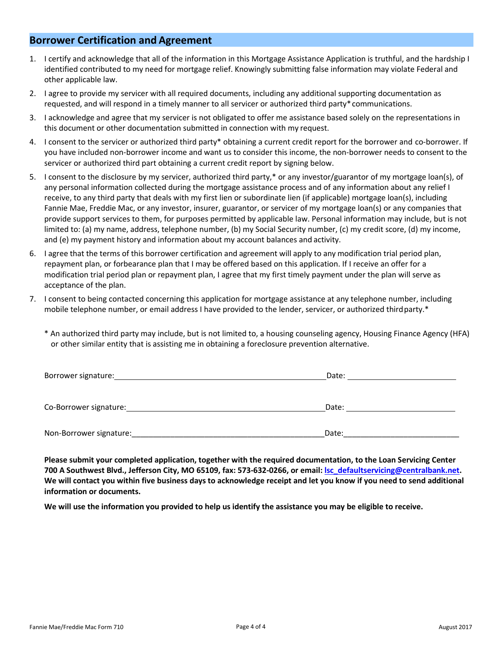#### **Borrower Certification and Agreement**

- 1. I certify and acknowledge that all of the information in this Mortgage Assistance Application is truthful, and the hardship I identified contributed to my need for mortgage relief. Knowingly submitting false information may violate Federal and other applicable law.
- 2. I agree to provide my servicer with all required documents, including any additional supporting documentation as requested, and will respond in a timely manner to all servicer or authorized third party\*communications.
- 3. I acknowledge and agree that my servicer is not obligated to offer me assistance based solely on the representations in this document or other documentation submitted in connection with my request.
- 4. I consent to the servicer or authorized third party\* obtaining a current credit report for the borrower and co-borrower. If you have included non-borrower income and want us to consider this income, the non-borrower needs to consent to the servicer or authorized third part obtaining a current credit report by signing below.
- 5. I consent to the disclosure by my servicer, authorized third party,\* or any investor/guarantor of my mortgage loan(s), of any personal information collected during the mortgage assistance process and of any information about any relief I receive, to any third party that deals with my first lien or subordinate lien (if applicable) mortgage loan(s), including Fannie Mae, Freddie Mac, or any investor, insurer, guarantor, or servicer of my mortgage loan(s) or any companies that provide support services to them, for purposes permitted by applicable law. Personal information may include, but is not limited to: (a) my name, address, telephone number, (b) my Social Security number, (c) my credit score, (d) my income, and (e) my payment history and information about my account balances and activity.
- 6. I agree that the terms of this borrower certification and agreement will apply to any modification trial period plan, repayment plan, or forbearance plan that I may be offered based on this application. If I receive an offer for a modification trial period plan or repayment plan, I agree that my first timely payment under the plan will serve as acceptance of the plan.
- 7. I consent to being contacted concerning this application for mortgage assistance at any telephone number, including mobile telephone number, or email address I have provided to the lender, servicer, or authorized third party.\*

\* An authorized third party may include, but is not limited to, a housing counseling agency, Housing Finance Agency (HFA) or other similar entity that is assisting me in obtaining a foreclosure prevention alternative.

| Borrower signature:     | Date: |  |
|-------------------------|-------|--|
|                         |       |  |
| Co-Borrower signature:  | Date: |  |
| Non-Borrower signature: | Date: |  |

**Please submit your completed application, together with the required documentation, to the Loan Servicing Center 700 A Southwest Blvd., Jefferson City, MO 65109, fax: 573-632-0266, or email: [lsc\\_defaultservicing@centralbank.net.](mailto:lsc_defaultservicing@centralbank.net?subject=Online%20Request%20-%20LSS%20Hardship) We will contact you within five business days to acknowledge receipt and let you know if you need to send additional information or documents.**

**We will use the information you provided to help us identify the assistance you may be eligible to receive.**